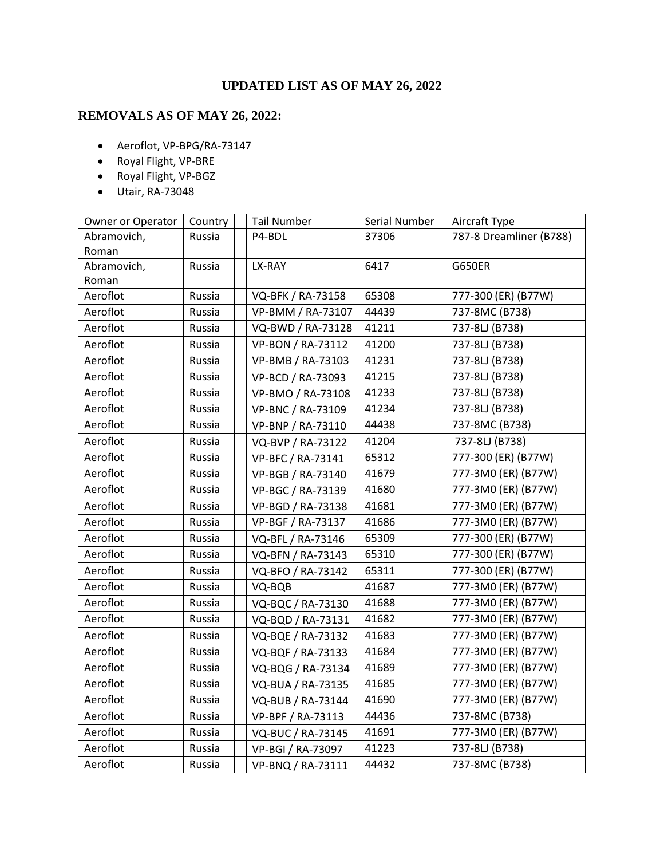## **UPDATED LIST AS OF MAY 26, 2022**

## **REMOVALS AS OF MAY 26, 2022:**

- Aeroflot, VP-BPG/RA-73147
- Royal Flight, VP-BRE
- Royal Flight, VP-BGZ
- Utair, RA-73048

| Owner or Operator | Country | <b>Tail Number</b> | Serial Number | Aircraft Type           |
|-------------------|---------|--------------------|---------------|-------------------------|
| Abramovich,       | Russia  | P4-BDL             | 37306         | 787-8 Dreamliner (B788) |
| Roman             |         |                    |               |                         |
| Abramovich,       | Russia  | LX-RAY             | 6417          | <b>G650ER</b>           |
| Roman             |         |                    |               |                         |
| Aeroflot          | Russia  | VQ-BFK / RA-73158  | 65308         | 777-300 (ER) (B77W)     |
| Aeroflot          | Russia  | VP-BMM / RA-73107  | 44439         | 737-8MC (B738)          |
| Aeroflot          | Russia  | VQ-BWD / RA-73128  | 41211         | 737-8LJ (B738)          |
| Aeroflot          | Russia  | VP-BON / RA-73112  | 41200         | 737-8LJ (B738)          |
| Aeroflot          | Russia  | VP-BMB / RA-73103  | 41231         | 737-8LJ (B738)          |
| Aeroflot          | Russia  | VP-BCD / RA-73093  | 41215         | 737-8LJ (B738)          |
| Aeroflot          | Russia  | VP-BMO / RA-73108  | 41233         | 737-8LJ (B738)          |
| Aeroflot          | Russia  | VP-BNC / RA-73109  | 41234         | 737-8LJ (B738)          |
| Aeroflot          | Russia  | VP-BNP / RA-73110  | 44438         | 737-8MC (B738)          |
| Aeroflot          | Russia  | VQ-BVP / RA-73122  | 41204         | 737-8LJ (B738)          |
| Aeroflot          | Russia  | VP-BFC / RA-73141  | 65312         | 777-300 (ER) (B77W)     |
| Aeroflot          | Russia  | VP-BGB / RA-73140  | 41679         | 777-3M0 (ER) (B77W)     |
| Aeroflot          | Russia  | VP-BGC / RA-73139  | 41680         | 777-3M0 (ER) (B77W)     |
| Aeroflot          | Russia  | VP-BGD / RA-73138  | 41681         | 777-3M0 (ER) (B77W)     |
| Aeroflot          | Russia  | VP-BGF / RA-73137  | 41686         | 777-3M0 (ER) (B77W)     |
| Aeroflot          | Russia  | VQ-BFL / RA-73146  | 65309         | 777-300 (ER) (B77W)     |
| Aeroflot          | Russia  | VQ-BFN / RA-73143  | 65310         | 777-300 (ER) (B77W)     |
| Aeroflot          | Russia  | VQ-BFO / RA-73142  | 65311         | 777-300 (ER) (B77W)     |
| Aeroflot          | Russia  | VQ-BQB             | 41687         | 777-3M0 (ER) (B77W)     |
| Aeroflot          | Russia  | VQ-BQC / RA-73130  | 41688         | 777-3M0 (ER) (B77W)     |
| Aeroflot          | Russia  | VQ-BQD / RA-73131  | 41682         | 777-3M0 (ER) (B77W)     |
| Aeroflot          | Russia  | VQ-BQE / RA-73132  | 41683         | 777-3M0 (ER) (B77W)     |
| Aeroflot          | Russia  | VQ-BQF / RA-73133  | 41684         | 777-3M0 (ER) (B77W)     |
| Aeroflot          | Russia  | VQ-BQG / RA-73134  | 41689         | 777-3M0 (ER) (B77W)     |
| Aeroflot          | Russia  | VQ-BUA / RA-73135  | 41685         | 777-3M0 (ER) (B77W)     |
| Aeroflot          | Russia  | VQ-BUB / RA-73144  | 41690         | 777-3M0 (ER) (B77W)     |
| Aeroflot          | Russia  | VP-BPF / RA-73113  | 44436         | 737-8MC (B738)          |
| Aeroflot          | Russia  | VQ-BUC / RA-73145  | 41691         | 777-3M0 (ER) (B77W)     |
| Aeroflot          | Russia  | VP-BGI / RA-73097  | 41223         | 737-8LJ (B738)          |
| Aeroflot          | Russia  | VP-BNQ / RA-73111  | 44432         | 737-8MC (B738)          |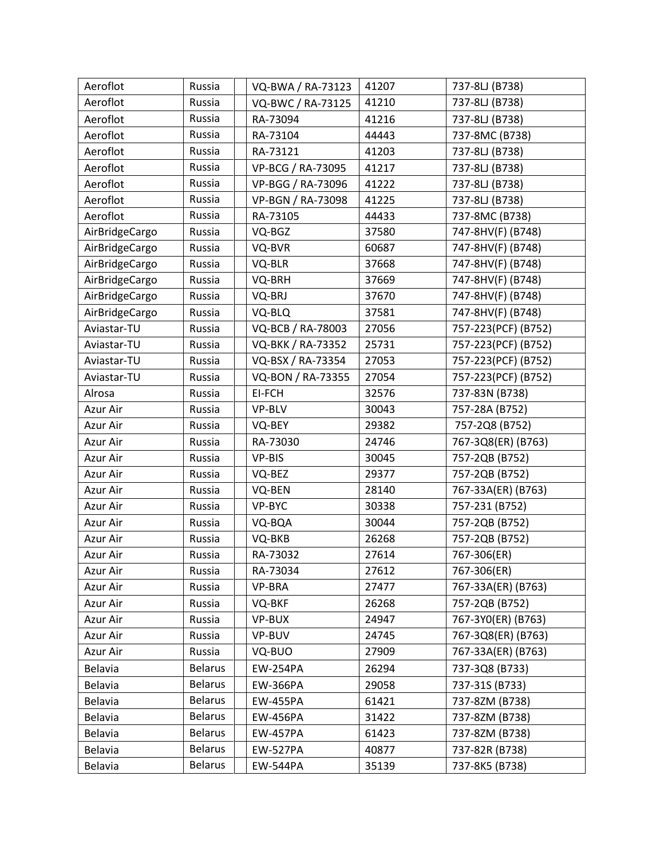| Aeroflot       | Russia         | VQ-BWA / RA-73123 | 41207 | 737-8LJ (B738)      |
|----------------|----------------|-------------------|-------|---------------------|
| Aeroflot       | Russia         | VQ-BWC / RA-73125 | 41210 | 737-8LJ (B738)      |
| Aeroflot       | Russia         | RA-73094          | 41216 | 737-8LJ (B738)      |
| Aeroflot       | Russia         | RA-73104          | 44443 | 737-8MC (B738)      |
| Aeroflot       | Russia         | RA-73121          | 41203 | 737-8LJ (B738)      |
| Aeroflot       | Russia         | VP-BCG / RA-73095 | 41217 | 737-8LJ (B738)      |
| Aeroflot       | Russia         | VP-BGG / RA-73096 | 41222 | 737-8LJ (B738)      |
| Aeroflot       | Russia         | VP-BGN / RA-73098 | 41225 | 737-8LJ (B738)      |
| Aeroflot       | Russia         | RA-73105          | 44433 | 737-8MC (B738)      |
| AirBridgeCargo | Russia         | VQ-BGZ            | 37580 | 747-8HV(F) (B748)   |
| AirBridgeCargo | Russia         | VQ-BVR            | 60687 | 747-8HV(F) (B748)   |
| AirBridgeCargo | Russia         | VQ-BLR            | 37668 | 747-8HV(F) (B748)   |
| AirBridgeCargo | Russia         | VQ-BRH            | 37669 | 747-8HV(F) (B748)   |
| AirBridgeCargo | Russia         | VQ-BRJ            | 37670 | 747-8HV(F) (B748)   |
| AirBridgeCargo | Russia         | VQ-BLQ            | 37581 | 747-8HV(F) (B748)   |
| Aviastar-TU    | Russia         | VQ-BCB / RA-78003 | 27056 | 757-223(PCF) (B752) |
| Aviastar-TU    | Russia         | VQ-BKK / RA-73352 | 25731 | 757-223(PCF) (B752) |
| Aviastar-TU    | Russia         | VQ-BSX / RA-73354 | 27053 | 757-223(PCF) (B752) |
| Aviastar-TU    | Russia         | VQ-BON / RA-73355 | 27054 | 757-223(PCF) (B752) |
| Alrosa         | Russia         | EI-FCH            | 32576 | 737-83N (B738)      |
| Azur Air       | Russia         | VP-BLV            | 30043 | 757-28A (B752)      |
| Azur Air       | Russia         | VQ-BEY            | 29382 | 757-2Q8 (B752)      |
| Azur Air       | Russia         | RA-73030          | 24746 | 767-3Q8(ER) (B763)  |
| Azur Air       | Russia         | VP-BIS            | 30045 | 757-2QB (B752)      |
| Azur Air       | Russia         | VQ-BEZ            | 29377 | 757-2QB (B752)      |
| Azur Air       | Russia         | VQ-BEN            | 28140 | 767-33A(ER) (B763)  |
| Azur Air       | Russia         | VP-BYC            | 30338 | 757-231 (B752)      |
| Azur Air       | Russia         | VQ-BQA            | 30044 | 757-2QB (B752)      |
| Azur Air       | Russia         | VQ-BKB            | 26268 | 757-2QB (B752)      |
| Azur Air       | Russia         | RA-73032          | 27614 | 767-306(ER)         |
| Azur Air       | Russia         | RA-73034          | 27612 | 767-306(ER)         |
| Azur Air       | Russia         | VP-BRA            | 27477 | 767-33A(ER) (B763)  |
| Azur Air       | Russia         | VQ-BKF            | 26268 | 757-2QB (B752)      |
| Azur Air       | Russia         | VP-BUX            | 24947 | 767-3YO(ER) (B763)  |
| Azur Air       | Russia         | VP-BUV            | 24745 | 767-3Q8(ER) (B763)  |
| Azur Air       | Russia         | VQ-BUO            | 27909 | 767-33A(ER) (B763)  |
| Belavia        | <b>Belarus</b> | <b>EW-254PA</b>   | 26294 | 737-3Q8 (B733)      |
| <b>Belavia</b> | <b>Belarus</b> | <b>EW-366PA</b>   | 29058 | 737-31S (B733)      |
| Belavia        | <b>Belarus</b> | <b>EW-455PA</b>   | 61421 | 737-8ZM (B738)      |
| <b>Belavia</b> | <b>Belarus</b> | <b>EW-456PA</b>   | 31422 | 737-8ZM (B738)      |
| Belavia        | <b>Belarus</b> | <b>EW-457PA</b>   | 61423 | 737-8ZM (B738)      |
| Belavia        | <b>Belarus</b> | <b>EW-527PA</b>   | 40877 | 737-82R (B738)      |
| Belavia        | <b>Belarus</b> | <b>EW-544PA</b>   | 35139 | 737-8K5 (B738)      |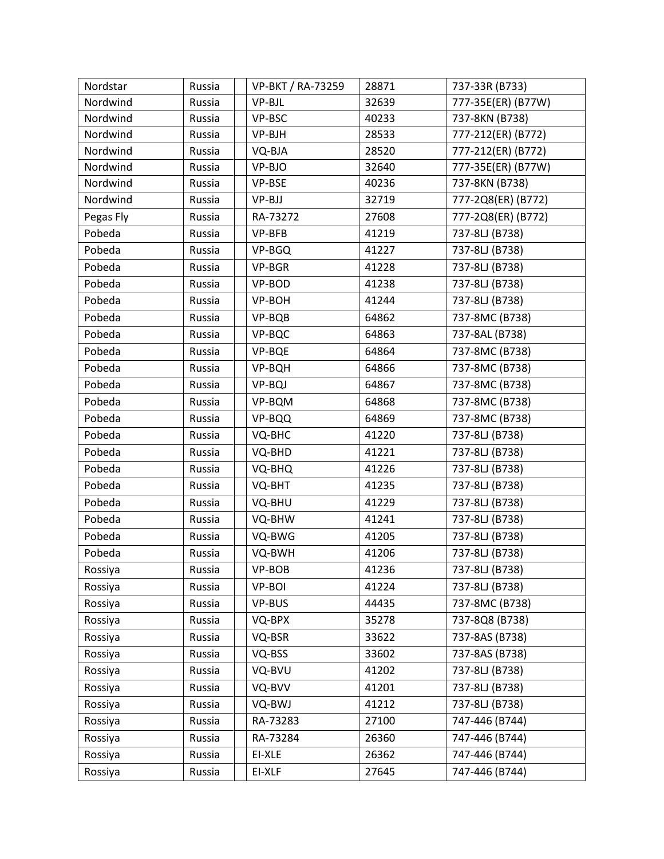| Nordstar  | Russia | VP-BKT / RA-73259 | 28871 | 737-33R (B733)     |
|-----------|--------|-------------------|-------|--------------------|
| Nordwind  | Russia | VP-BJL            | 32639 | 777-35E(ER) (B77W) |
| Nordwind  | Russia | VP-BSC            | 40233 | 737-8KN (B738)     |
| Nordwind  | Russia | VP-BJH            | 28533 | 777-212(ER) (B772) |
| Nordwind  | Russia | VQ-BJA            | 28520 | 777-212(ER) (B772) |
| Nordwind  | Russia | VP-BJO            | 32640 | 777-35E(ER) (B77W) |
| Nordwind  | Russia | VP-BSE            | 40236 | 737-8KN (B738)     |
| Nordwind  | Russia | VP-BJJ            | 32719 | 777-2Q8(ER) (B772) |
| Pegas Fly | Russia | RA-73272          | 27608 | 777-2Q8(ER) (B772) |
| Pobeda    | Russia | VP-BFB            | 41219 | 737-8LJ (B738)     |
| Pobeda    | Russia | VP-BGQ            | 41227 | 737-8LJ (B738)     |
| Pobeda    | Russia | VP-BGR            | 41228 | 737-8LJ (B738)     |
| Pobeda    | Russia | VP-BOD            | 41238 | 737-8LJ (B738)     |
| Pobeda    | Russia | VP-BOH            | 41244 | 737-8LJ (B738)     |
| Pobeda    | Russia | VP-BQB            | 64862 | 737-8MC (B738)     |
| Pobeda    | Russia | VP-BQC            | 64863 | 737-8AL (B738)     |
| Pobeda    | Russia | VP-BQE            | 64864 | 737-8MC (B738)     |
| Pobeda    | Russia | VP-BQH            | 64866 | 737-8MC (B738)     |
| Pobeda    | Russia | VP-BQJ            | 64867 | 737-8MC (B738)     |
| Pobeda    | Russia | VP-BQM            | 64868 | 737-8MC (B738)     |
| Pobeda    | Russia | VP-BQQ            | 64869 | 737-8MC (B738)     |
| Pobeda    | Russia | VQ-BHC            | 41220 | 737-8LJ (B738)     |
| Pobeda    | Russia | VQ-BHD            | 41221 | 737-8LJ (B738)     |
| Pobeda    | Russia | VQ-BHQ            | 41226 | 737-8LJ (B738)     |
| Pobeda    | Russia | VQ-BHT            | 41235 | 737-8LJ (B738)     |
| Pobeda    | Russia | VQ-BHU            | 41229 | 737-8LJ (B738)     |
| Pobeda    | Russia | VQ-BHW            | 41241 | 737-8LJ (B738)     |
| Pobeda    | Russia | VQ-BWG            | 41205 | 737-8LJ (B738)     |
| Pobeda    | Russia | VQ-BWH            | 41206 | 737-8LJ (B738)     |
| Rossiya   | Russia | VP-BOB            | 41236 | 737-8LJ (B738)     |
| Rossiya   | Russia | VP-BOI            | 41224 | 737-8LJ (B738)     |
| Rossiya   | Russia | VP-BUS            | 44435 | 737-8MC (B738)     |
| Rossiya   | Russia | VQ-BPX            | 35278 | 737-8Q8 (B738)     |
| Rossiya   | Russia | VQ-BSR            | 33622 | 737-8AS (B738)     |
| Rossiya   | Russia | VQ-BSS            | 33602 | 737-8AS (B738)     |
| Rossiya   | Russia | VQ-BVU            | 41202 | 737-8LJ (B738)     |
| Rossiya   | Russia | VQ-BVV            | 41201 | 737-8LJ (B738)     |
| Rossiya   | Russia | VQ-BWJ            | 41212 | 737-8LJ (B738)     |
| Rossiya   | Russia | RA-73283          | 27100 | 747-446 (B744)     |
| Rossiya   | Russia | RA-73284          | 26360 | 747-446 (B744)     |
| Rossiya   | Russia | EI-XLE            | 26362 | 747-446 (B744)     |
| Rossiya   | Russia | EI-XLF            | 27645 | 747-446 (B744)     |